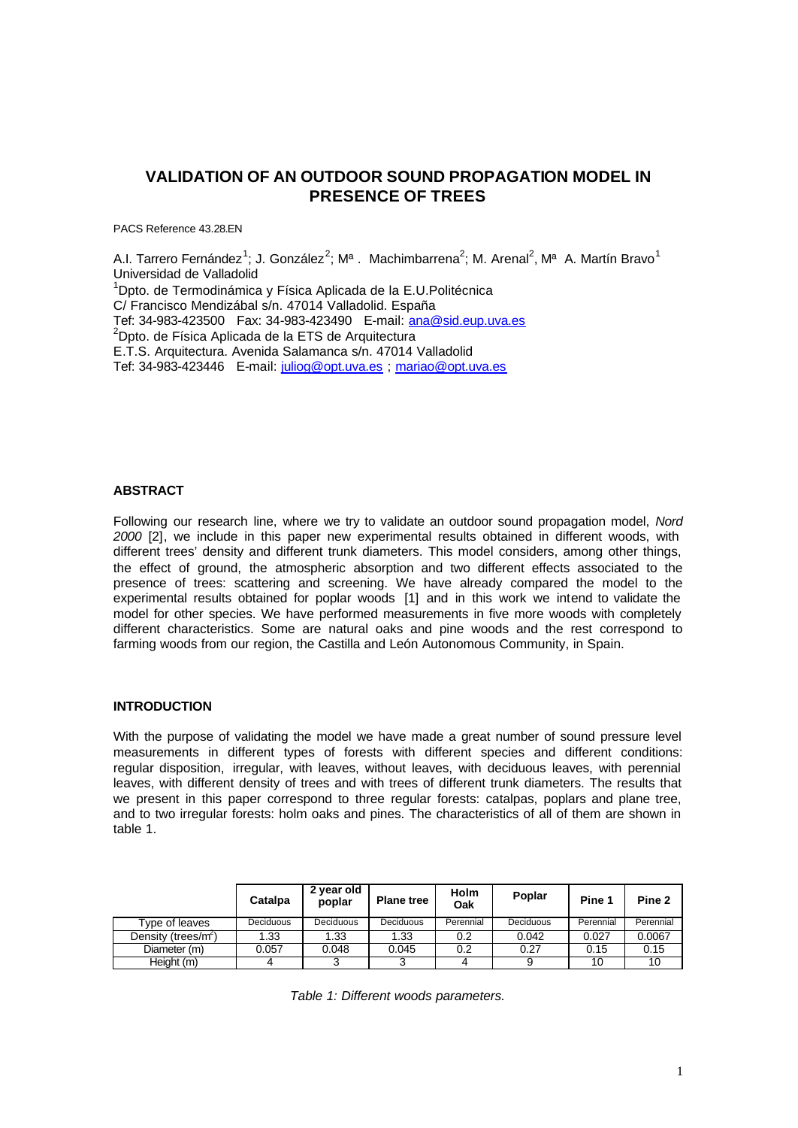# **VALIDATION OF AN OUTDOOR SOUND PROPAGATION MODEL IN PRESENCE OF TREES**

PACS Reference 43.28.EN

A.I. Tarrero Fernández<sup>1</sup>; J. González<sup>2</sup>; Mª. Machimbarrena<sup>2</sup>; M. Arenal<sup>2</sup>, Mª A. Martín Bravo<sup>1</sup> Universidad de Valladolid <sup>1</sup>Dpto. de Termodinámica y Física Aplicada de la E.U.Politécnica C/ Francisco Mendizábal s/n. 47014 Valladolid. España Tef: 34-983-423500 Fax: 34-983-423490 E-mail: ana@sid.eup.uva.es  $2$ Dpto. de Física Aplicada de la ETS de Arquitectura E.T.S. Arquitectura. Avenida Salamanca s/n. 47014 Valladolid Tef: 34-983-423446 E-mail: juliog@opt.uva.es ; mariao@opt.uva.es

# **ABSTRACT**

Following our research line, where we try to validate an outdoor sound propagation model, *Nord 2000* [2], we include in this paper new experimental results obtained in different woods, with different trees' density and different trunk diameters. This model considers, among other things, the effect of ground, the atmospheric absorption and two different effects associated to the presence of trees: scattering and screening. We have already compared the model to the experimental results obtained for poplar woods [1] and in this work we intend to validate the model for other species. We have performed measurements in five more woods with completely different characteristics. Some are natural oaks and pine woods and the rest correspond to farming woods from our region, the Castilla and León Autonomous Community, in Spain.

#### **INTRODUCTION**

With the purpose of validating the model we have made a great number of sound pressure level measurements in different types of forests with different species and different conditions: regular disposition, irregular, with leaves, without leaves, with deciduous leaves, with perennial leaves, with different density of trees and with trees of different trunk diameters. The results that we present in this paper correspond to three regular forests: catalpas, poplars and plane tree, and to two irregular forests: holm oaks and pines. The characteristics of all of them are shown in table 1.

|                                 | Catalpa   | 2 year old<br>poplar | <b>Plane tree</b> | Holm<br>Oak | Poplar           | Pine 1    | Pine 2    |
|---------------------------------|-----------|----------------------|-------------------|-------------|------------------|-----------|-----------|
| Tvpe of leaves                  | Deciduous | Deciduous            | Deciduous         | Perennial   | <b>Deciduous</b> | Perennial | Perennial |
| Density (trees/m <sup>2</sup> ) | 1.33      | 1.33                 | 1.33              | 0.2         | 0.042            | 0.027     | 0.0067    |
| Diameter (m)                    | 0.057     | 0.048                | 0.045             | 0.2         | 0.27             | 0.15      | 0.15      |
| Height (m)                      |           |                      |                   |             | 9                | 10        | 10        |

*Table 1: Different woods parameters.*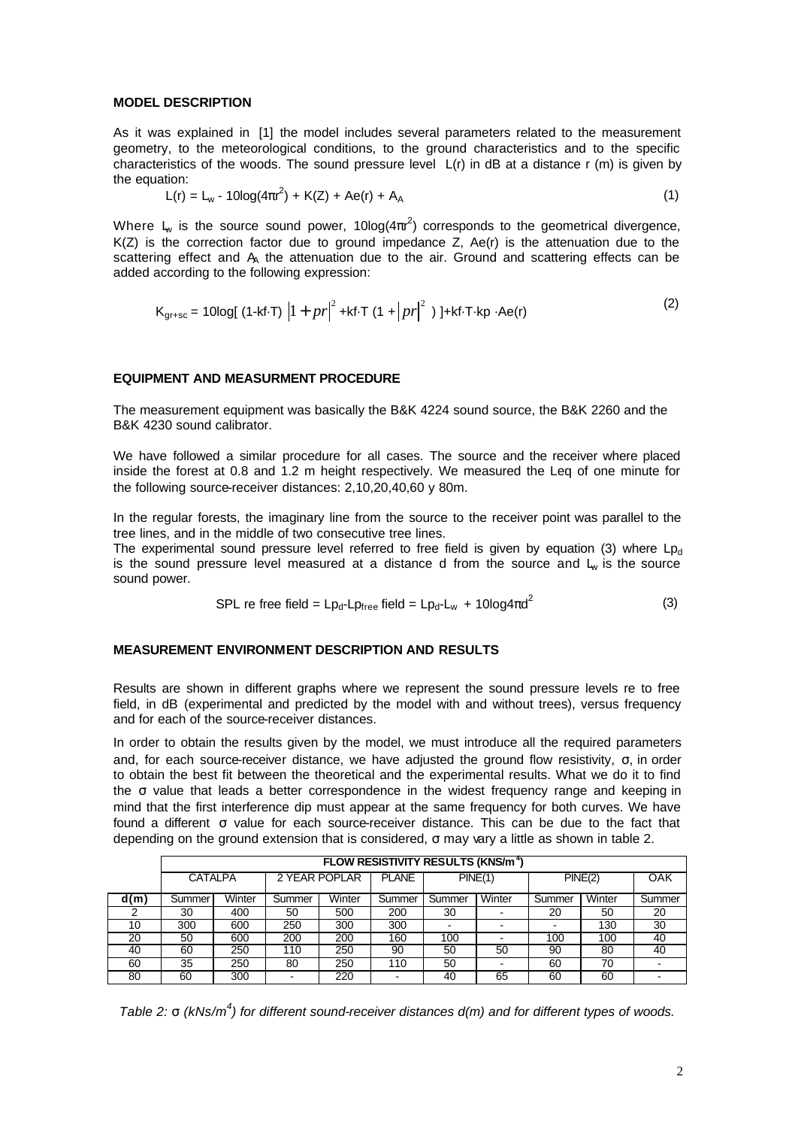## **MODEL DESCRIPTION**

As it was explained in [1] the model includes several parameters related to the measurement geometry, to the meteorological conditions, to the ground characteristics and to the specific characteristics of the woods. The sound pressure level L(r) in dB at a distance r (m) is given by the equation:

$$
L(r) = L_w - 10\log(4\pi r^2) + K(Z) + Ae(r) + A_A
$$
 (1)

Where  $L_{w}$  is the source sound power, 10log( $4\pi r^{2}$ ) corresponds to the geometrical divergence,  $K(Z)$  is the correction factor due to ground impedance  $Z$ ,  $Ae(r)$  is the attenuation due to the scattering effect and  $A_A$  the attenuation due to the air. Ground and scattering effects can be added according to the following expression:

$$
K_{gr+sc} = 10\log[(1-kf\cdot T) |1 + pr|^2 + kf\cdot T (1 + |pr|^2)] + kf\cdot T \cdot k p \cdot Ae(r)
$$
 (2)

## **EQUIPMENT AND MEASURMENT PROCEDURE**

The measurement equipment was basically the B&K 4224 sound source, the B&K 2260 and the B&K 4230 sound calibrator.

We have followed a similar procedure for all cases. The source and the receiver where placed inside the forest at 0.8 and 1.2 m height respectively. We measured the Leq of one minute for the following source-receiver distances: 2,10,20,40,60 y 80m.

In the regular forests, the imaginary line from the source to the receiver point was parallel to the tree lines, and in the middle of two consecutive tree lines.

The experimental sound pressure level referred to free field is given by equation (3) where  $L_{\text{Dd}}$ is the sound pressure level measured at a distance d from the source and  $L_w$  is the source sound power.

$$
SPL \text{ re free field} = Lp_d - Lp_{\text{free}} \text{ field} = Lp_d - L_w + 10\log 4\pi d^2 \tag{3}
$$

#### **MEASUREMENT ENVIRONMENT DESCRIPTION AND RESULTS**

Results are shown in different graphs where we represent the sound pressure levels re to free field, in dB (experimental and predicted by the model with and without trees), versus frequency and for each of the source-receiver distances.

In order to obtain the results given by the model, we must introduce all the required parameters and, for each source-receiver distance, we have adjusted the ground flow resistivity, σ, in order to obtain the best fit between the theoretical and the experimental results. What we do it to find the σ value that leads a better correspondence in the widest frequency range and keeping in mind that the first interference dip must appear at the same frequency for both curves. We have found a different σ value for each source-receiver distance. This can be due to the fact that depending on the ground extension that is considered, σ may vary a little as shown in table 2.

|      | <b>FLOW RESISTIVITY RESULTS (KNS/m<sup>4</sup>)</b> |        |               |        |              |         |        |         |        |            |  |  |
|------|-----------------------------------------------------|--------|---------------|--------|--------------|---------|--------|---------|--------|------------|--|--|
|      | <b>CATALPA</b>                                      |        | 2 YEAR POPLAR |        | <b>PLANE</b> | PINE(1) |        | PINE(2) |        | <b>OAK</b> |  |  |
| d(m) | Summer                                              | Winter | Summer        | Winter | Summer       | Summer  | Winter | Summer  | Winter | Summer     |  |  |
|      | 30                                                  | 400    | 50            | 500    | 200          | 30      |        | 20      | 50     | 20         |  |  |
| 10   | 300                                                 | 600    | 250           | 300    | 300          |         |        |         | 130    | 30         |  |  |
| 20   | 50                                                  | 600    | 200           | 200    | 160          | 100     |        | 100     | 100    | 40         |  |  |
| 40   | 60                                                  | 250    | 110           | 250    | 90           | 50      | 50     | 90      | 80     | 40         |  |  |
| 60   | 35                                                  | 250    | 80            | 250    | 110          | 50      |        | 60      | 70     |            |  |  |
| 80   | 60                                                  | 300    |               | 220    |              | 40      | 65     | 60      | 60     |            |  |  |

*Table 2:* σ *(kNs/m<sup>4</sup> ) for different sound-receiver distances d(m) and for different types of woods.*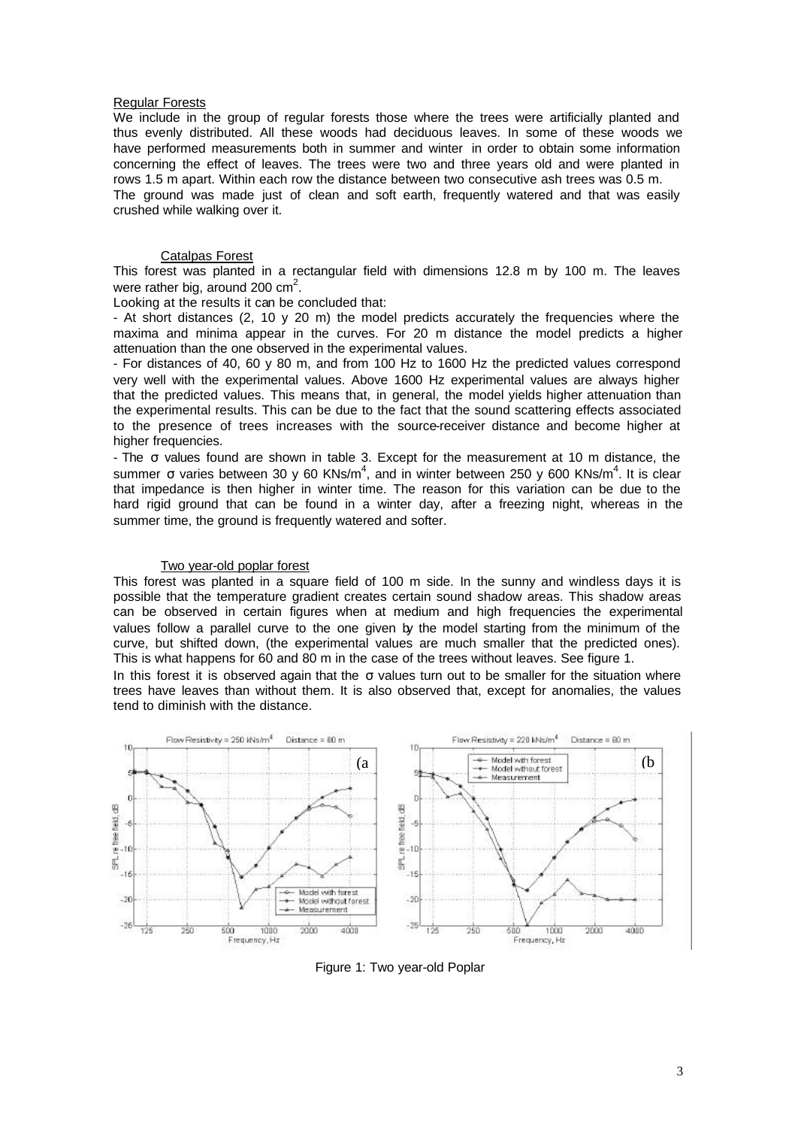## Regular Forests

We include in the group of regular forests those where the trees were artificially planted and thus evenly distributed. All these woods had deciduous leaves. In some of these woods we have performed measurements both in summer and winter in order to obtain some information concerning the effect of leaves. The trees were two and three years old and were planted in rows 1.5 m apart. Within each row the distance between two consecutive ash trees was 0.5 m. The ground was made just of clean and soft earth, frequently watered and that was easily crushed while walking over it.

# Catalpas Forest

This forest was planted in a rectangular field with dimensions 12.8 m by 100 m. The leaves were rather big, around 200  $\text{cm}^2$ .

Looking at the results it can be concluded that:

- At short distances (2, 10 y 20 m) the model predicts accurately the frequencies where the maxima and minima appear in the curves. For 20 m distance the model predicts a higher attenuation than the one observed in the experimental values.

- For distances of 40, 60 y 80 m, and from 100 Hz to 1600 Hz the predicted values correspond very well with the experimental values. Above 1600 Hz experimental values are always higher that the predicted values. This means that, in general, the model yields higher attenuation than the experimental results. This can be due to the fact that the sound scattering effects associated to the presence of trees increases with the source-receiver distance and become higher at higher frequencies.

- The σ values found are shown in table 3. Except for the measurement at 10 m distance, the summer  $\sigma$  varies between 30 y 60 KNs/m<sup>4</sup>, and in winter between 250 y 600 KNs/m<sup>4</sup>. It is clear that impedance is then higher in winter time. The reason for this variation can be due to the hard rigid ground that can be found in a winter day, after a freezing night, whereas in the summer time, the ground is frequently watered and softer.

#### Two year-old poplar forest

This forest was planted in a square field of 100 m side. In the sunny and windless days it is possible that the temperature gradient creates certain sound shadow areas. This shadow areas can be observed in certain figures when at medium and high frequencies the experimental values follow a parallel curve to the one given by the model starting from the minimum of the curve, but shifted down, (the experimental values are much smaller that the predicted ones). This is what happens for 60 and 80 m in the case of the trees without leaves. See figure 1.

In this forest it is observed again that the  $\sigma$  values turn out to be smaller for the situation where trees have leaves than without them. It is also observed that, except for anomalies, the values tend to diminish with the distance.



Figure 1: Two year-old Poplar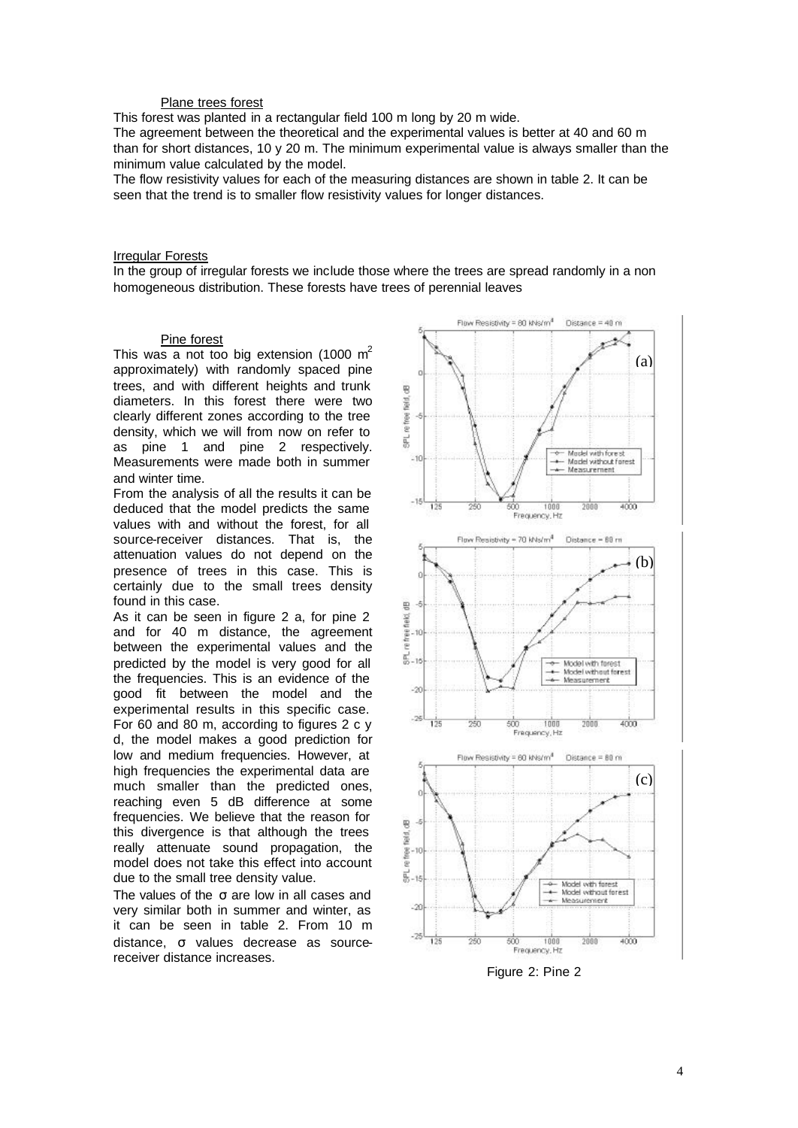## Plane trees forest

This forest was planted in a rectangular field 100 m long by 20 m wide.

The agreement between the theoretical and the experimental values is better at 40 and 60 m than for short distances, 10 y 20 m. The minimum experimental value is always smaller than the minimum value calculated by the model.

The flow resistivity values for each of the measuring distances are shown in table 2. It can be seen that the trend is to smaller flow resistivity values for longer distances.

## **Irregular Forests**

In the group of irregular forests we include those where the trees are spread randomly in a non homogeneous distribution. These forests have trees of perennial leaves

## Pine forest

This was a not too big extension (1000  $m^2$ ) approximately) with randomly spaced pine trees, and with different heights and trunk diameters. In this forest there were two clearly different zones according to the tree density, which we will from now on refer to as pine 1 and pine 2 respectively. Measurements were made both in summer and winter time.

From the analysis of all the results it can be deduced that the model predicts the same values with and without the forest, for all source-receiver distances. That is, the attenuation values do not depend on the presence of trees in this case. This is certainly due to the small trees density found in this case.

As it can be seen in figure 2 a, for pine 2 and for 40 m distance, the agreement between the experimental values and the predicted by the model is very good for all the frequencies. This is an evidence of the good fit between the model and the experimental results in this specific case. For 60 and 80 m, according to figures 2 c y d, the model makes a good prediction for low and medium frequencies. However, at high frequencies the experimental data are much smaller than the predicted ones, reaching even 5 dB difference at some frequencies. We believe that the reason for this divergence is that although the trees really attenuate sound propagation, the model does not take this effect into account due to the small tree density value.

The values of the  $σ$  are low in all cases and very similar both in summer and winter, as it can be seen in table 2. From 10 m distance, σ values decrease as sourcereceiver distance increases.



Figure 2: Pine 2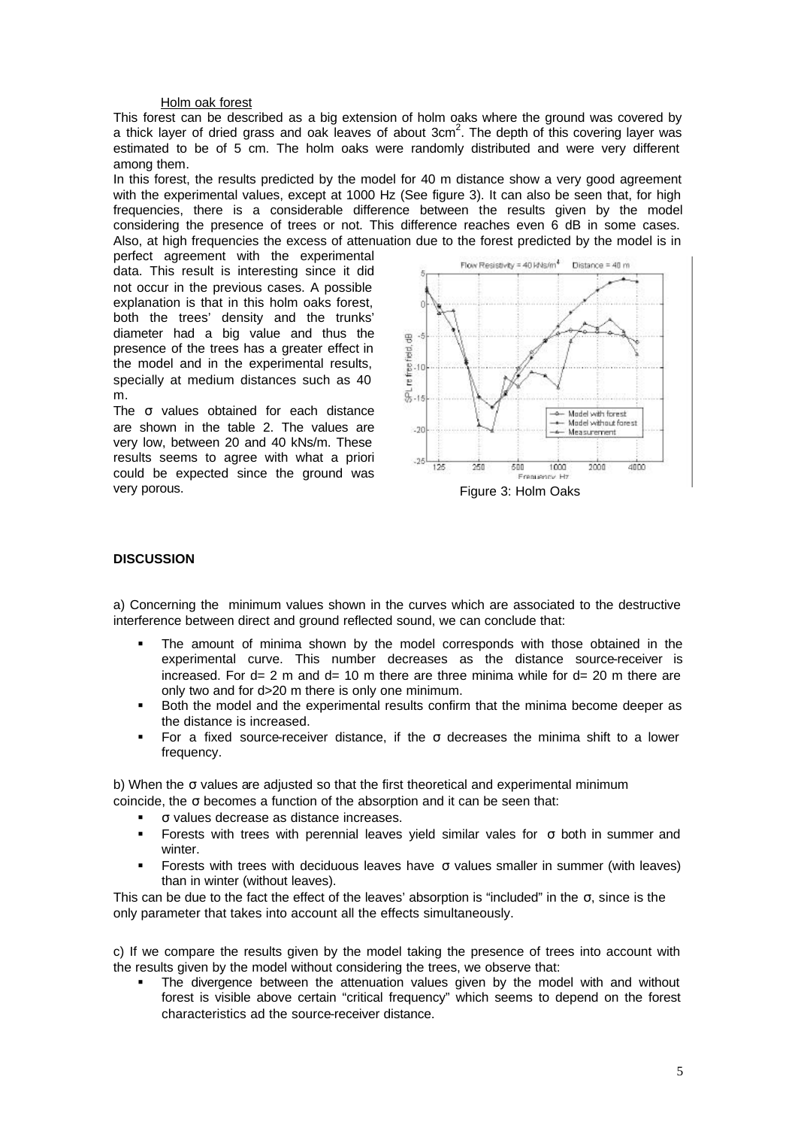## Holm oak forest

This forest can be described as a big extension of holm oaks where the ground was covered by a thick layer of dried grass and oak leaves of about  $3 \text{cm}^2$ . The depth of this covering layer was estimated to be of 5 cm. The holm oaks were randomly distributed and were very different among them.

In this forest, the results predicted by the model for 40 m distance show a very good agreement with the experimental values, except at 1000 Hz (See figure 3). It can also be seen that, for high frequencies, there is a considerable difference between the results given by the model considering the presence of trees or not. This difference reaches even 6 dB in some cases. Also, at high frequencies the excess of attenuation due to the forest predicted by the model is in

perfect agreement with the experimental data. This result is interesting since it did not occur in the previous cases. A possible explanation is that in this holm oaks forest, both the trees' density and the trunks' diameter had a big value and thus the presence of the trees has a greater effect in the model and in the experimental results, specially at medium distances such as 40 m.

The σ values obtained for each distance are shown in the table 2. The values are very low, between 20 and 40 kNs/m. These results seems to agree with what a priori could be expected since the ground was very porous.



Figure 3: Holm Oaks

# **DISCUSSION**

a) Concerning the minimum values shown in the curves which are associated to the destructive interference between direct and ground reflected sound, we can conclude that:

- ß The amount of minima shown by the model corresponds with those obtained in the experimental curve. This number decreases as the distance source-receiver is increased. For  $d= 2$  m and  $d= 10$  m there are three minima while for  $d= 20$  m there are only two and for d>20 m there is only one minimum.
- ß Both the model and the experimental results confirm that the minima become deeper as the distance is increased.
- For a fixed source-receiver distance, if the  $\sigma$  decreases the minima shift to a lower frequency.

b) When the σ values are adjusted so that the first theoretical and experimental minimum coincide, the σ becomes a function of the absorption and it can be seen that:

- ß σ values decrease as distance increases.
- ß Forests with trees with perennial leaves yield similar vales for σ both in summer and winter.
- ß Forests with trees with deciduous leaves have σ values smaller in summer (with leaves) than in winter (without leaves).

This can be due to the fact the effect of the leaves' absorption is "included" in the  $\sigma$ , since is the only parameter that takes into account all the effects simultaneously.

c) If we compare the results given by the model taking the presence of trees into account with the results given by the model without considering the trees, we observe that:

ß The divergence between the attenuation values given by the model with and without forest is visible above certain "critical frequency" which seems to depend on the forest characteristics ad the source-receiver distance.